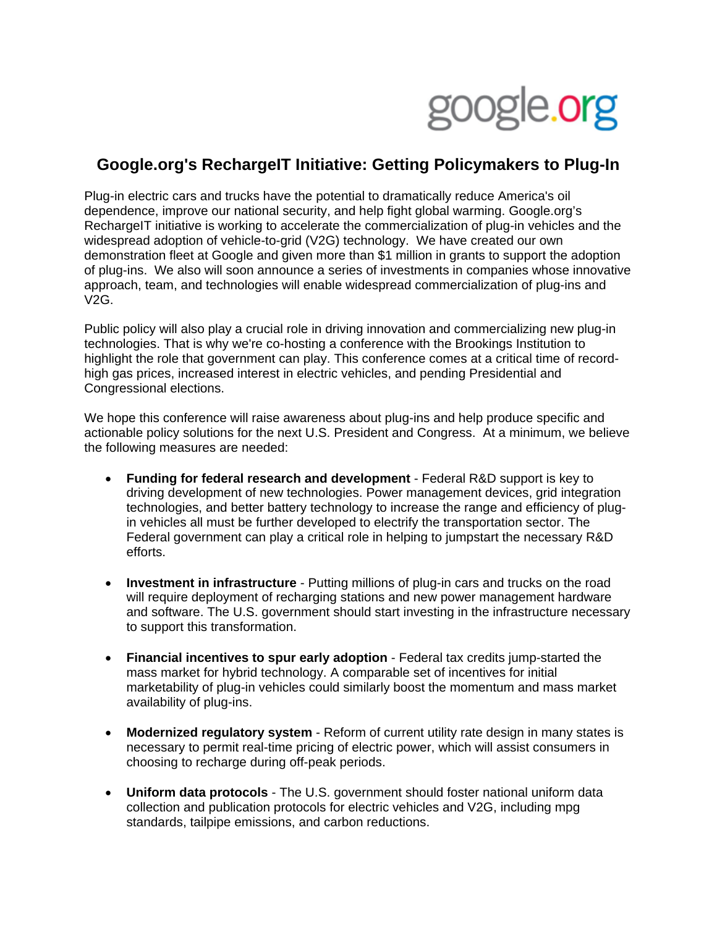

## **Google.org's RechargeIT Initiative: Getting Policymakers to Plug-In**

Plug-in electric cars and trucks have the potential to dramatically reduce America's oil dependence, improve our national security, and help fight global warming. Google.org's RechargeIT initiative is working to accelerate the commercialization of plug-in vehicles and the widespread adoption of vehicle-to-grid (V2G) technology. We have created our own demonstration fleet at Google and given more than \$1 million in grants to support the adoption of plug-ins. We also will soon announce a series of investments in companies whose innovative approach, team, and technologies will enable widespread commercialization of plug-ins and V2G.

Public policy will also play a crucial role in driving innovation and commercializing new plug-in technologies. That is why we're co-hosting a conference with the Brookings Institution to highlight the role that government can play. This conference comes at a critical time of recordhigh gas prices, increased interest in electric vehicles, and pending Presidential and Congressional elections.

We hope this conference will raise awareness about plug-ins and help produce specific and actionable policy solutions for the next U.S. President and Congress. At a minimum, we believe the following measures are needed:

- **Funding for federal research and development** Federal R&D support is key to driving development of new technologies. Power management devices, grid integration technologies, and better battery technology to increase the range and efficiency of plugin vehicles all must be further developed to electrify the transportation sector. The Federal government can play a critical role in helping to jumpstart the necessary R&D efforts.
- **Investment in infrastructure** Putting millions of plug-in cars and trucks on the road will require deployment of recharging stations and new power management hardware and software. The U.S. government should start investing in the infrastructure necessary to support this transformation.
- **Financial incentives to spur early adoption** Federal tax credits jump-started the mass market for hybrid technology. A comparable set of incentives for initial marketability of plug-in vehicles could similarly boost the momentum and mass market availability of plug-ins.
- **Modernized regulatory system** Reform of current utility rate design in many states is necessary to permit real-time pricing of electric power, which will assist consumers in choosing to recharge during off-peak periods.
- **Uniform data protocols** The U.S. government should foster national uniform data collection and publication protocols for electric vehicles and V2G, including mpg standards, tailpipe emissions, and carbon reductions.